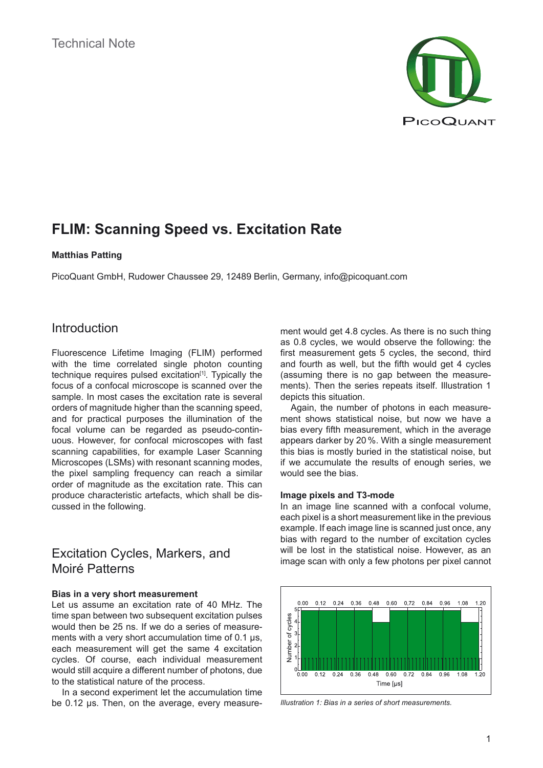

# **FLIM: Scanning Speed vs. Excitation Rate**

### **Matthias Patting**

PicoQuant GmbH, Rudower Chaussee 29, 12489 Berlin, Germany, info@picoquant.com

## Introduction

Fluorescence Lifetime Imaging (FLIM) performed with the time correlated single photon counting technique requires pulsed excitation<sup>[1]</sup>. Typically the focus of a confocal microscope is scanned over the sample. In most cases the excitation rate is several orders of magnitude higher than the scanning speed, and for practical purposes the illumination of the focal volume can be regarded as pseudo-continuous. However, for confocal microscopes with fast scanning capabilities, for example Laser Scanning Microscopes (LSMs) with resonant scanning modes, the pixel sampling frequency can reach a similar order of magnitude as the excitation rate. This can produce characteristic artefacts, which shall be discussed in the following.

## Excitation Cycles, Markers, and Moiré Patterns

### **Bias in a very short measurement**

Let us assume an excitation rate of 40 MHz. The time span between two subsequent excitation pulses would then be 25 ns. If we do a series of measurements with a very short accumulation time of 0.1 µs, each measurement will get the same 4 excitation cycles. Of course, each individual measurement would still acquire a different number of photons, due to the statistical nature of the process.

In a second experiment let the accumulation time be 0.12 µs. Then, on the average, every measurement would get 4.8 cycles. As there is no such thing as 0.8 cycles, we would observe the following: the first measurement gets 5 cycles, the second, third and fourth as well, but the fifth would get 4 cycles (assuming there is no gap between the measurements). Then the series repeats itself. Illustration 1 depicts this situation.

Again, the number of photons in each measurement shows statistical noise, but now we have a bias every fifth measurement, which in the average appears darker by 20 %. With a single measurement this bias is mostly buried in the statistical noise, but if we accumulate the results of enough series, we would see the bias.

### **Image pixels and T3-mode**

In an image line scanned with a confocal volume, each pixel is a short measurement like in the previous example. If each image line is scanned just once, any bias with regard to the number of excitation cycles will be lost in the statistical noise. However, as an image scan with only a few photons per pixel cannot



*Illustration 1: Bias in a series of short measurements.*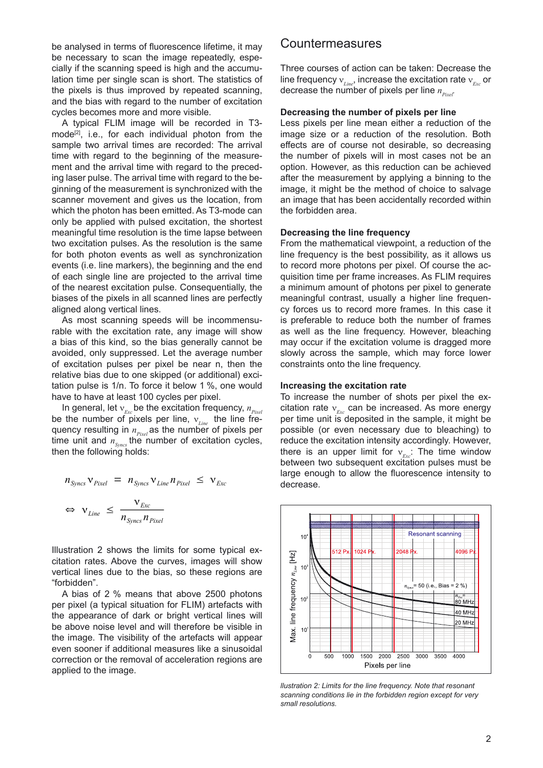be analysed in terms of fluorescence lifetime, it may be necessary to scan the image repeatedly, especially if the scanning speed is high and the accumulation time per single scan is short. The statistics of the pixels is thus improved by repeated scanning, and the bias with regard to the number of excitation cycles becomes more and more visible.

A typical FLIM image will be recorded in T3 mode<sup>[2]</sup>, i.e., for each individual photon from the sample two arrival times are recorded: The arrival time with regard to the beginning of the measurement and the arrival time with regard to the preceding laser pulse. The arrival time with regard to the beginning of the measurement is synchronized with the scanner movement and gives us the location, from which the photon has been emitted. As T3-mode can only be applied with pulsed excitation, the shortest meaningful time resolution is the time lapse between two excitation pulses. As the resolution is the same for both photon events as well as synchronization events (i.e. line markers), the beginning and the end of each single line are projected to the arrival time of the nearest excitation pulse. Consequentially, the biases of the pixels in all scanned lines are perfectly aligned along vertical lines.  $\frac{m}{\alpha}$ 

> As most scanning speeds will be incommensurable with the excitation rate, any image will show a bias of this kind, so the bias generally cannot be avoided, only suppressed. Let the average number of excitation pulses per pixel be near n, then the relative bias due to one skipped (or additional) excitation pulse is 1/n. To force it below 1 %, one would have to have at least 100 cycles per pixel.

> In general, let  $v_{Ex}$  be the excitation frequency,  $n_{Pixel}$ be the number of pixels per line,  $v_{\text{Line}}$  the line frequency resulting in  $n_{Pixel}$  as the number of pixels per time unit and  $n_{Symcs}$  the number of excitation cycles, then the following holds:

$$
n_{\text{Types}} \mathbf{v}_{\text{pixel}} = n_{\text{Types}} \mathbf{v}_{\text{Line}} n_{\text{pixel}} \leq \mathbf{v}_{\text{Exc}}
$$
\n
$$
\Leftrightarrow \mathbf{v}_{\text{Line}} \leq \frac{\mathbf{v}_{\text{Exc}}}{n_{\text{Syncs}} n_{\text{pixel}}}
$$

Illustration 2 shows the limits for some typical excitation rates. Above the curves, images will show vertical lines due to the bias, so these regions are "forbidden".

A bias of 2 % means that above 2500 photons per pixel (a typical situation for FLIM) artefacts with the appearance of dark or bright vertical lines will be above noise level and will therefore be visible in the image. The visibility of the artefacts will appear even sooner if additional measures like a sinusoidal correction or the removal of acceleration regions are applied to the image.

### Countermeasures

Three courses of action can be taken: Decrease the line frequency  $v_{\text{Line}}$ , increase the excitation rate  $v_{\text{Exc}}$  or decrease the number of pixels per line  $n_{pixel}$ .

#### **Decreasing the number of pixels per line**

Less pixels per line mean either a reduction of the image size or a reduction of the resolution. Both effects are of course not desirable, so decreasing the number of pixels will in most cases not be an option. However, as this reduction can be achieved after the measurement by applying a binning to the image, it might be the method of choice to salvage an image that has been accidentally recorded within the forbidden area.

### **Decreasing the line frequency**

From the mathematical viewpoint, a reduction of the line frequency is the best possibility, as it allows us to record more photons per pixel. Of course the acquisition time per frame increases. As FLIM requires a minimum amount of photons per pixel to generate meaningful contrast, usually a higher line frequency forces us to record more frames. In this case it is preferable to reduce both the number of frames as well as the line frequency. However, bleaching may occur if the excitation volume is dragged more slowly across the sample, which may force lower constraints onto the line frequency.

#### **Increasing the excitation rate**

ν*Exc* large enough to allow the fluorescence intensity to decrease. To increase the number of shots per pixel the excitation rate  $v_{\text{max}}$  can be increased. As more energy per time unit is deposited in the sample, it might be possible (or even necessary due to bleaching) to reduce the excitation intensity accordingly. However, there is an upper limit for  $v_{F.x}$ : The time window between two subsequent excitation pulses must be



*llustration 2: Limits for the line frequency. Note that resonant scanning conditions lie in the forbidden region except for very small resolutions.*